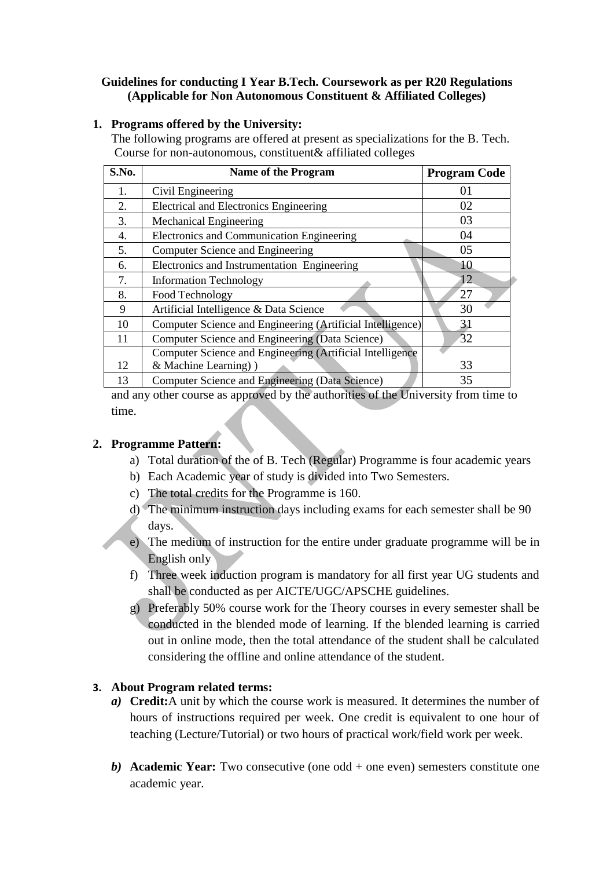#### **Guidelines for conducting I Year B.Tech. Coursework as per R20 Regulations (Applicable for Non Autonomous Constituent & Affiliated Colleges)**

# **1. Programs offered by the University:**

 The following programs are offered at present as specializations for the B. Tech. Course for non-autonomous, constituent& affiliated colleges

| S.No. | <b>Name of the Program</b>                                 | <b>Program Code</b> |
|-------|------------------------------------------------------------|---------------------|
| 1.    | Civil Engineering                                          | 01                  |
| 2.    | <b>Electrical and Electronics Engineering</b>              | 02                  |
| 3.    | Mechanical Engineering                                     | 03                  |
| 4.    | Electronics and Communication Engineering                  | 04                  |
| 5.    | Computer Science and Engineering                           | 05                  |
| 6.    | Electronics and Instrumentation Engineering                | 10                  |
| 7.    | <b>Information Technology</b>                              | 12                  |
| 8.    | Food Technology                                            | 27                  |
| 9     | Artificial Intelligence & Data Science                     | 30                  |
| 10    | Computer Science and Engineering (Artificial Intelligence) | 31                  |
| 11    | Computer Science and Engineering (Data Science)            | 32                  |
|       | Computer Science and Engineering (Artificial Intelligence  |                     |
| 12    | & Machine Learning)                                        | 33                  |
| 13    | Computer Science and Engineering (Data Science)            | 35                  |

and any other course as approved by the authorities of the University from time to time.

# **2. Programme Pattern:**

- a) Total duration of the of B. Tech (Regular) Programme is four academic years
- b) Each Academic year of study is divided into Two Semesters.
- c) The total credits for the Programme is 160.
- d) The minimum instruction days including exams for each semester shall be 90 days.
- e) The medium of instruction for the entire under graduate programme will be in English only
- f) Three week induction program is mandatory for all first year UG students and shall be conducted as per AICTE/UGC/APSCHE guidelines.
- g) Preferably 50% course work for the Theory courses in every semester shall be conducted in the blended mode of learning. If the blended learning is carried out in online mode, then the total attendance of the student shall be calculated considering the offline and online attendance of the student.

# **3. About Program related terms:**

- *a)* **Credit:**A unit by which the course work is measured. It determines the number of hours of instructions required per week. One credit is equivalent to one hour of teaching (Lecture/Tutorial) or two hours of practical work/field work per week.
- *b)* **Academic Year:** Two consecutive (one odd + one even) semesters constitute one academic year.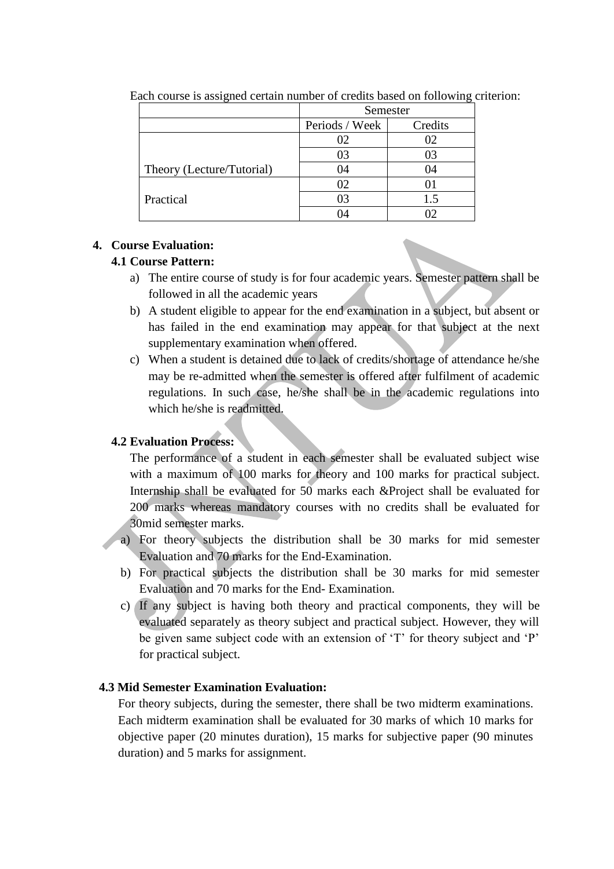|                           | Semester       |         |
|---------------------------|----------------|---------|
|                           | Periods / Week | Credits |
|                           | 02             |         |
|                           | 03             |         |
| Theory (Lecture/Tutorial) | 04             | 04      |
|                           | 02             |         |
| Practical                 | 03             | 1.5     |
|                           |                |         |

Each course is assigned certain number of credits based on following criterion:

# **4. Course Evaluation:**

# **4.1 Course Pattern:**

- a) The entire course of study is for four academic years. Semester pattern shall be followed in all the academic years
- b) A student eligible to appear for the end examination in a subject, but absent or has failed in the end examination may appear for that subject at the next supplementary examination when offered.
- c) When a student is detained due to lack of credits/shortage of attendance he/she may be re-admitted when the semester is offered after fulfilment of academic regulations. In such case, he/she shall be in the academic regulations into which he/she is readmitted.

# **4.2 Evaluation Process:**

The performance of a student in each semester shall be evaluated subject wise with a maximum of 100 marks for theory and 100 marks for practical subject. Internship shall be evaluated for 50 marks each &Project shall be evaluated for 200 marks whereas mandatory courses with no credits shall be evaluated for 30mid semester marks.

- a) For theory subjects the distribution shall be 30 marks for mid semester Evaluation and 70 marks for the End-Examination.
- b) For practical subjects the distribution shall be 30 marks for mid semester Evaluation and 70 marks for the End- Examination.
- c) If any subject is having both theory and practical components, they will be evaluated separately as theory subject and practical subject. However, they will be given same subject code with an extension of 'T' for theory subject and 'P' for practical subject.

# **4.3 Mid Semester Examination Evaluation:**

For theory subjects, during the semester, there shall be two midterm examinations. Each midterm examination shall be evaluated for 30 marks of which 10 marks for objective paper (20 minutes duration), 15 marks for subjective paper (90 minutes duration) and 5 marks for assignment.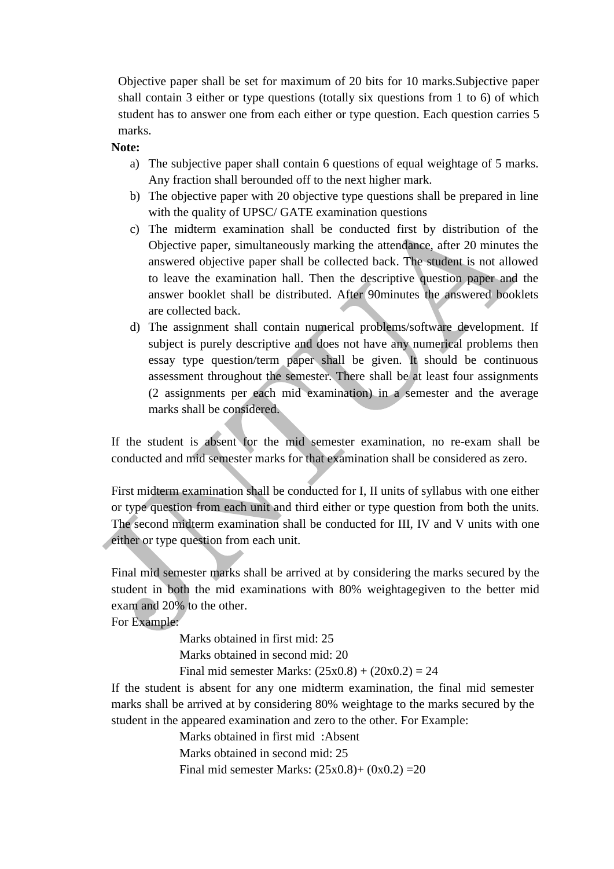Objective paper shall be set for maximum of 20 bits for 10 marks.Subjective paper shall contain 3 either or type questions (totally six questions from 1 to 6) of which student has to answer one from each either or type question. Each question carries 5 marks.

**Note:**

- a) The subjective paper shall contain 6 questions of equal weightage of 5 marks. Any fraction shall berounded off to the next higher mark.
- b) The objective paper with 20 objective type questions shall be prepared in line with the quality of UPSC/ GATE examination questions
- c) The midterm examination shall be conducted first by distribution of the Objective paper, simultaneously marking the attendance, after 20 minutes the answered objective paper shall be collected back. The student is not allowed to leave the examination hall. Then the descriptive question paper and the answer booklet shall be distributed. After 90minutes the answered booklets are collected back.
- d) The assignment shall contain numerical problems/software development. If subject is purely descriptive and does not have any numerical problems then essay type question/term paper shall be given. It should be continuous assessment throughout the semester. There shall be at least four assignments (2 assignments per each mid examination) in a semester and the average marks shall be considered.

If the student is absent for the mid semester examination, no re-exam shall be conducted and mid semester marks for that examination shall be considered as zero.

First midterm examination shall be conducted for I, II units of syllabus with one either or type question from each unit and third either or type question from both the units. The second midterm examination shall be conducted for III, IV and V units with one either or type question from each unit.

Final mid semester marks shall be arrived at by considering the marks secured by the student in both the mid examinations with 80% weightagegiven to the better mid exam and 20% to the other.

For Example:

Marks obtained in first mid: 25

Marks obtained in second mid: 20

Final mid semester Marks:  $(25x0.8) + (20x0.2) = 24$ 

If the student is absent for any one midterm examination, the final mid semester marks shall be arrived at by considering 80% weightage to the marks secured by the student in the appeared examination and zero to the other. For Example:

> Marks obtained in first mid :Absent Marks obtained in second mid: 25 Final mid semester Marks:  $(25x0.8) + (0x0.2) = 20$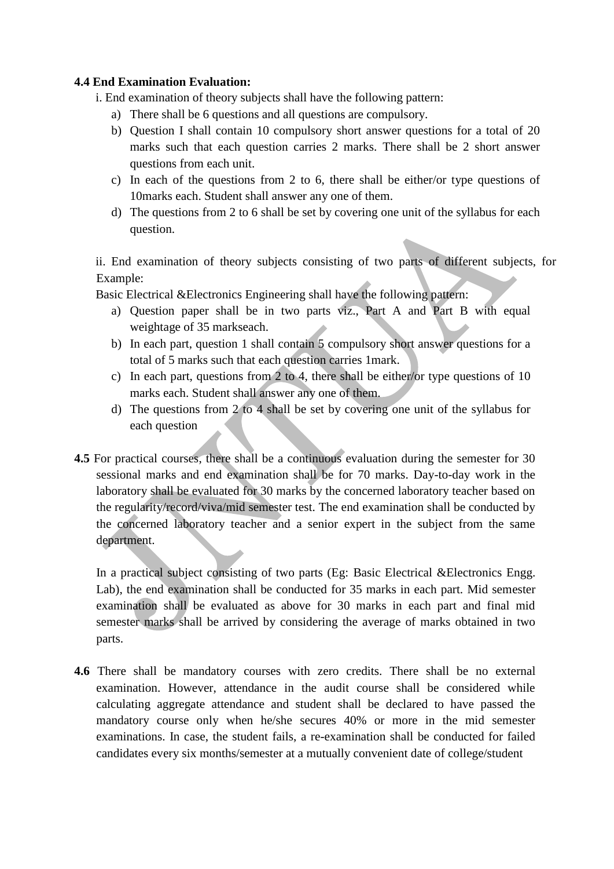#### **4.4 End Examination Evaluation:**

- i. End examination of theory subjects shall have the following pattern:
	- a) There shall be 6 questions and all questions are compulsory.
	- b) Question I shall contain 10 compulsory short answer questions for a total of 20 marks such that each question carries 2 marks. There shall be 2 short answer questions from each unit.
	- c) In each of the questions from 2 to 6, there shall be either/or type questions of 10marks each. Student shall answer any one of them.
	- d) The questions from 2 to 6 shall be set by covering one unit of the syllabus for each question.

ii. End examination of theory subjects consisting of two parts of different subjects, for Example:

Basic Electrical &Electronics Engineering shall have the following pattern:

- a) Question paper shall be in two parts viz., Part A and Part B with equal weightage of 35 markseach.
- b) In each part, question 1 shall contain 5 compulsory short answer questions for a total of 5 marks such that each question carries 1mark.
- c) In each part, questions from 2 to 4, there shall be either/or type questions of 10 marks each. Student shall answer any one of them.
- d) The questions from 2 to 4 shall be set by covering one unit of the syllabus for each question
- **4.5** For practical courses, there shall be a continuous evaluation during the semester for 30 sessional marks and end examination shall be for 70 marks. Day-to-day work in the laboratory shall be evaluated for 30 marks by the concerned laboratory teacher based on the regularity/record/viva/mid semester test. The end examination shall be conducted by the concerned laboratory teacher and a senior expert in the subject from the same department.

In a practical subject consisting of two parts (Eg: Basic Electrical &Electronics Engg. Lab), the end examination shall be conducted for 35 marks in each part. Mid semester examination shall be evaluated as above for 30 marks in each part and final mid semester marks shall be arrived by considering the average of marks obtained in two parts.

**4.6** There shall be mandatory courses with zero credits. There shall be no external examination. However, attendance in the audit course shall be considered while calculating aggregate attendance and student shall be declared to have passed the mandatory course only when he/she secures 40% or more in the mid semester examinations. In case, the student fails, a re-examination shall be conducted for failed candidates every six months/semester at a mutually convenient date of college/student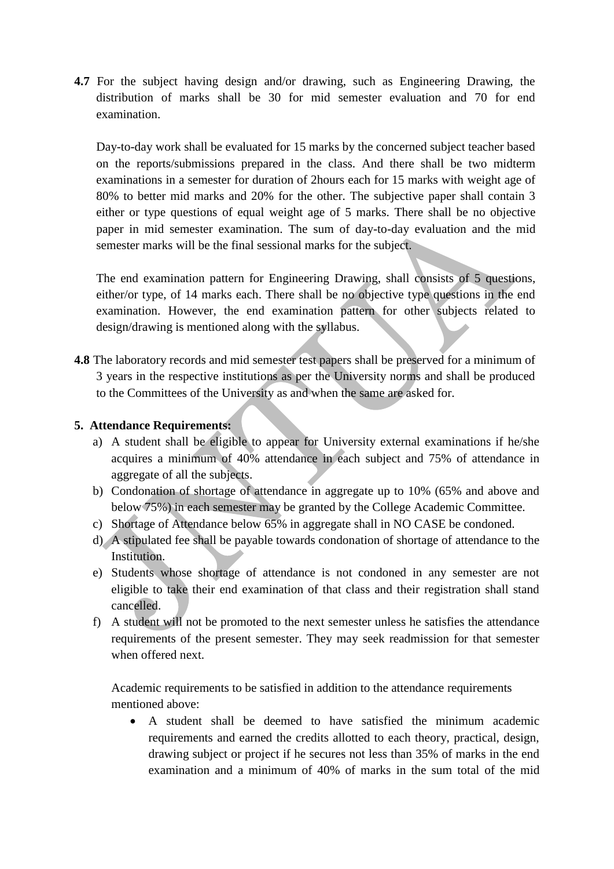**4.7** For the subject having design and/or drawing, such as Engineering Drawing, the distribution of marks shall be 30 for mid semester evaluation and 70 for end examination.

Day-to-day work shall be evaluated for 15 marks by the concerned subject teacher based on the reports/submissions prepared in the class. And there shall be two midterm examinations in a semester for duration of 2hours each for 15 marks with weight age of 80% to better mid marks and 20% for the other. The subjective paper shall contain 3 either or type questions of equal weight age of 5 marks. There shall be no objective paper in mid semester examination. The sum of day-to-day evaluation and the mid semester marks will be the final sessional marks for the subject.

The end examination pattern for Engineering Drawing, shall consists of 5 questions, either/or type, of 14 marks each. There shall be no objective type questions in the end examination. However, the end examination pattern for other subjects related to design/drawing is mentioned along with the syllabus.

**4.8** The laboratory records and mid semester test papers shall be preserved for a minimum of 3 years in the respective institutions as per the University norms and shall be produced to the Committees of the University as and when the same are asked for.

# **5. Attendance Requirements:**

- a) A student shall be eligible to appear for University external examinations if he/she acquires a minimum of 40% attendance in each subject and 75% of attendance in aggregate of all the subjects.
- b) Condonation of shortage of attendance in aggregate up to 10% (65% and above and below 75%) in each semester may be granted by the College Academic Committee.
- c) Shortage of Attendance below 65% in aggregate shall in NO CASE be condoned.
- d) A stipulated fee shall be payable towards condonation of shortage of attendance to the Institution.
- e) Students whose shortage of attendance is not condoned in any semester are not eligible to take their end examination of that class and their registration shall stand cancelled.
- f) A student will not be promoted to the next semester unless he satisfies the attendance requirements of the present semester. They may seek readmission for that semester when offered next.

Academic requirements to be satisfied in addition to the attendance requirements mentioned above:

 A student shall be deemed to have satisfied the minimum academic requirements and earned the credits allotted to each theory, practical, design, drawing subject or project if he secures not less than 35% of marks in the end examination and a minimum of 40% of marks in the sum total of the mid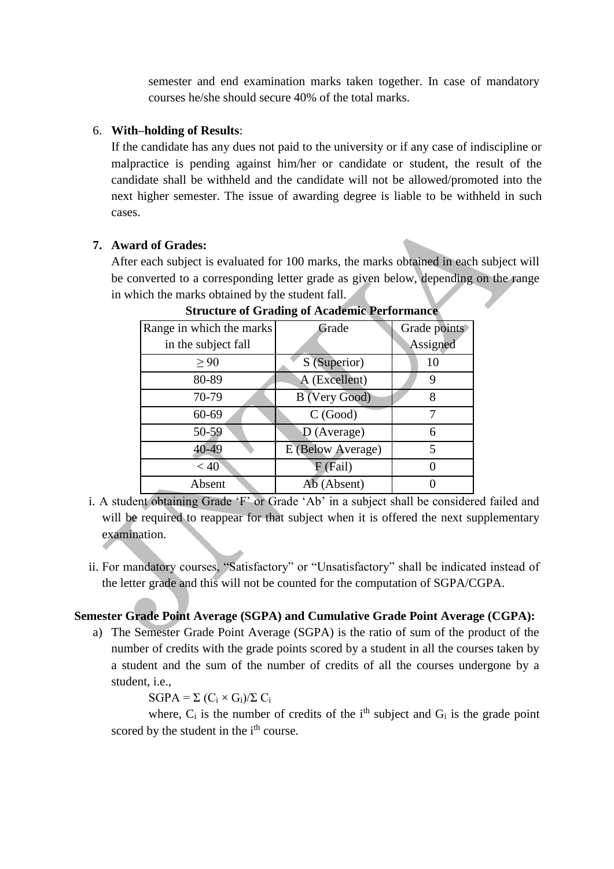semester and end examination marks taken together. In case of mandatory courses he/she should secure 40% of the total marks.

#### 6. **With–holding of Results**:

If the candidate has any dues not paid to the university or if any case of indiscipline or malpractice is pending against him/her or candidate or student, the result of the candidate shall be withheld and the candidate will not be allowed/promoted into the next higher semester. The issue of awarding degree is liable to be withheld in such cases.

# **7. Award of Grades:**

After each subject is evaluated for 100 marks, the marks obtained in each subject will be converted to a corresponding letter grade as given below, depending on the range in which the marks obtained by the student fall.

| Range in which the marks | Grade             | Grade points |
|--------------------------|-------------------|--------------|
| in the subject fall      |                   | Assigned     |
| > 90                     | S (Superior)      | 10           |
| 80-89                    | A (Excellent)     | 9            |
| 70-79                    | B (Very Good)     | 8            |
| 60-69                    | C(Good)           |              |
| 50-59                    | $D$ (Average)     | 6            |
| 40-49                    | E (Below Average) | 5            |
| < 40                     | F (Fail)          |              |
| Absent                   | Ab (Absent)       |              |

**Structure of Grading of Academic Performance**

- i. A student obtaining Grade 'F' or Grade 'Ab' in a subject shall be considered failed and will be required to reappear for that subject when it is offered the next supplementary examination.
- ii. For mandatory courses, "Satisfactory" or "Unsatisfactory" shall be indicated instead of the letter grade and this will not be counted for the computation of SGPA/CGPA.

# **Semester Grade Point Average (SGPA) and Cumulative Grade Point Average (CGPA):**

a) The Semester Grade Point Average (SGPA) is the ratio of sum of the product of the number of credits with the grade points scored by a student in all the courses taken by a student and the sum of the number of credits of all the courses undergone by a student, i.e.,

 $SGPA = \Sigma (C_i \times G_i)/\Sigma C_i$ 

where,  $C_i$  is the number of credits of the i<sup>th</sup> subject and  $G_i$  is the grade point scored by the student in the i<sup>th</sup> course.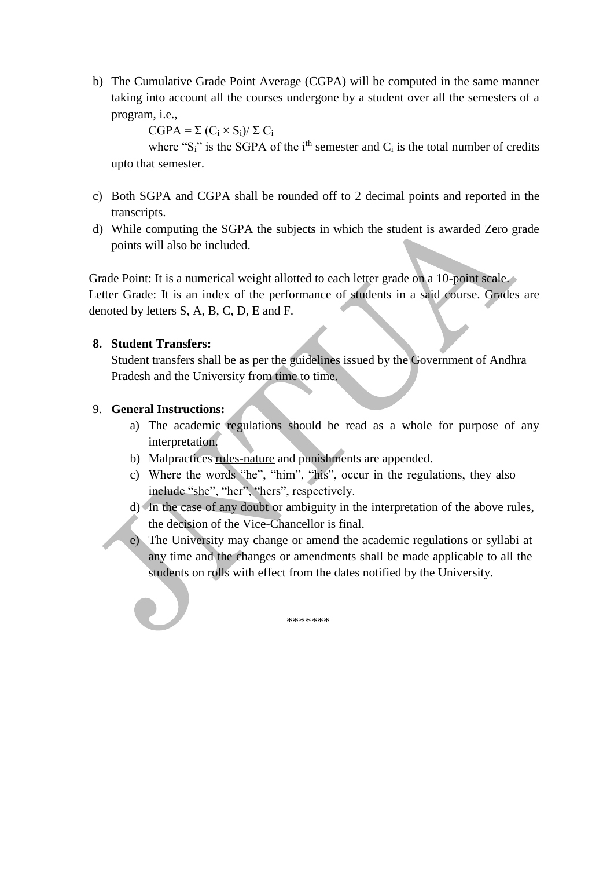b) The Cumulative Grade Point Average (CGPA) will be computed in the same manner taking into account all the courses undergone by a student over all the semesters of a program, i.e.,

 $CGPA = \sum (C_i \times S_i)/\sum C_i$ 

where " $S_i$ " is the SGPA of the i<sup>th</sup> semester and  $C_i$  is the total number of credits upto that semester.

- c) Both SGPA and CGPA shall be rounded off to 2 decimal points and reported in the transcripts.
- d) While computing the SGPA the subjects in which the student is awarded Zero grade points will also be included.

Grade Point: It is a numerical weight allotted to each letter grade on a 10-point scale. Letter Grade: It is an index of the performance of students in a said course. Grades are denoted by letters S, A, B, C, D, E and F.

#### **8. Student Transfers:**

Student transfers shall be as per the guidelines issued by the Government of Andhra Pradesh and the University from time to time.

#### 9. **General Instructions:**

- a) The academic regulations should be read as a whole for purpose of any interpretation.
- b) Malpractices rules-nature and punishments are appended.
- c) Where the words "he", "him", "his", occur in the regulations, they also include "she", "her", "hers", respectively.
- d) In the case of any doubt or ambiguity in the interpretation of the above rules, the decision of the Vice-Chancellor is final.
- e) The University may change or amend the academic regulations or syllabi at any time and the changes or amendments shall be made applicable to all the students on rolls with effect from the dates notified by the University.

\*\*\*\*\*\*\*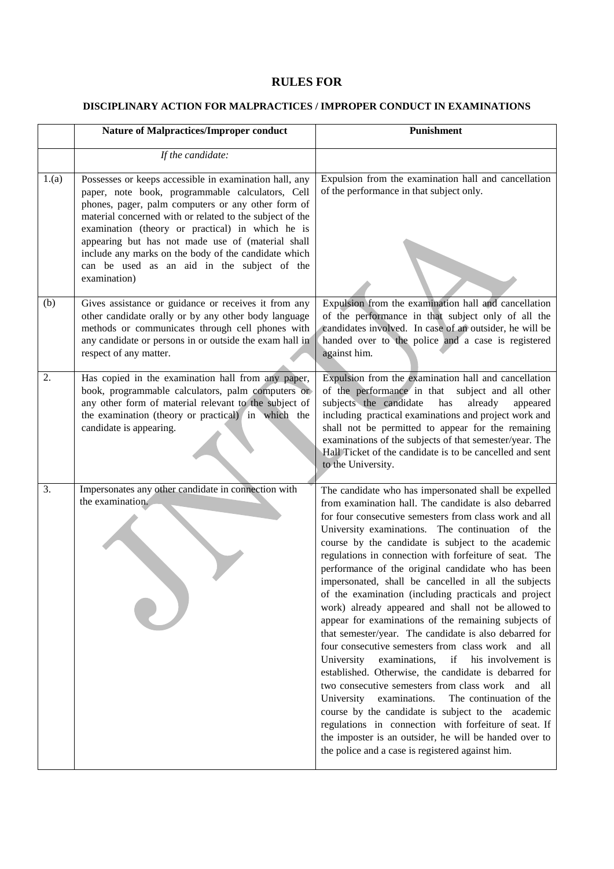#### **RULES FOR**

#### **DISCIPLINARY ACTION FOR MALPRACTICES / IMPROPER CONDUCT IN EXAMINATIONS**

|       | <b>Nature of Malpractices/Improper conduct</b>                                                                                                                                                                                                                                                                                                                                                                                                               | Punishment                                                                                                                                                                                                                                                                                                                                                                                                                                                                                                                                                                                                                                                                                                                                                                                                                                                                                                                                                                                                                                                                                                                                                                                                         |
|-------|--------------------------------------------------------------------------------------------------------------------------------------------------------------------------------------------------------------------------------------------------------------------------------------------------------------------------------------------------------------------------------------------------------------------------------------------------------------|--------------------------------------------------------------------------------------------------------------------------------------------------------------------------------------------------------------------------------------------------------------------------------------------------------------------------------------------------------------------------------------------------------------------------------------------------------------------------------------------------------------------------------------------------------------------------------------------------------------------------------------------------------------------------------------------------------------------------------------------------------------------------------------------------------------------------------------------------------------------------------------------------------------------------------------------------------------------------------------------------------------------------------------------------------------------------------------------------------------------------------------------------------------------------------------------------------------------|
|       | If the candidate:                                                                                                                                                                                                                                                                                                                                                                                                                                            |                                                                                                                                                                                                                                                                                                                                                                                                                                                                                                                                                                                                                                                                                                                                                                                                                                                                                                                                                                                                                                                                                                                                                                                                                    |
| 1.(a) | Possesses or keeps accessible in examination hall, any<br>paper, note book, programmable calculators, Cell<br>phones, pager, palm computers or any other form of<br>material concerned with or related to the subject of the<br>examination (theory or practical) in which he is<br>appearing but has not made use of (material shall<br>include any marks on the body of the candidate which<br>can be used as an aid in the subject of the<br>examination) | Expulsion from the examination hall and cancellation<br>of the performance in that subject only.                                                                                                                                                                                                                                                                                                                                                                                                                                                                                                                                                                                                                                                                                                                                                                                                                                                                                                                                                                                                                                                                                                                   |
| (b)   | Gives assistance or guidance or receives it from any<br>other candidate orally or by any other body language<br>methods or communicates through cell phones with<br>any candidate or persons in or outside the exam hall in<br>respect of any matter.                                                                                                                                                                                                        | Expulsion from the examination hall and cancellation<br>of the performance in that subject only of all the<br>candidates involved. In case of an outsider, he will be<br>handed over to the police and a case is registered<br>against him.                                                                                                                                                                                                                                                                                                                                                                                                                                                                                                                                                                                                                                                                                                                                                                                                                                                                                                                                                                        |
| 2.    | Has copied in the examination hall from any paper,<br>book, programmable calculators, palm computers or<br>any other form of material relevant to the subject of<br>the examination (theory or practical) in which the<br>candidate is appearing.                                                                                                                                                                                                            | Expulsion from the examination hall and cancellation<br>of the performance in that subject and all other<br>subjects the candidate<br>has<br>already<br>appeared<br>including practical examinations and project work and<br>shall not be permitted to appear for the remaining<br>examinations of the subjects of that semester/year. The<br>Hall Ticket of the candidate is to be cancelled and sent<br>to the University.                                                                                                                                                                                                                                                                                                                                                                                                                                                                                                                                                                                                                                                                                                                                                                                       |
| 3.    | Impersonates any other candidate in connection with<br>the examination.                                                                                                                                                                                                                                                                                                                                                                                      | The candidate who has impersonated shall be expelled<br>from examination hall. The candidate is also debarred<br>for four consecutive semesters from class work and all<br>University examinations. The continuation of the<br>course by the candidate is subject to the academic<br>regulations in connection with forfeiture of seat. The<br>performance of the original candidate who has been<br>impersonated, shall be cancelled in all the subjects<br>of the examination (including practicals and project<br>work) already appeared and shall not be allowed to<br>appear for examinations of the remaining subjects of<br>that semester/year. The candidate is also debarred for<br>four consecutive semesters from class work and all<br>University<br>examinations,<br>if<br>his involvement is<br>established. Otherwise, the candidate is debarred for<br>two consecutive semesters from class work and<br>all<br>University<br>examinations.<br>The continuation of the<br>course by the candidate is subject to the academic<br>regulations in connection with forfeiture of seat. If<br>the imposter is an outsider, he will be handed over to<br>the police and a case is registered against him. |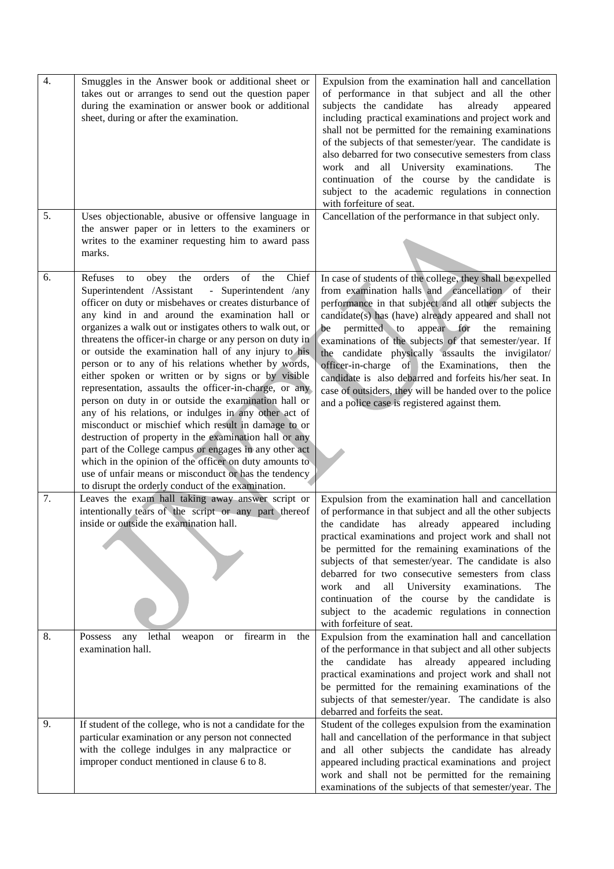| $\overline{4}$ . | Smuggles in the Answer book or additional sheet or<br>takes out or arranges to send out the question paper<br>during the examination or answer book or additional<br>sheet, during or after the examination.                                                                                                                                                                                                                                                                                                                                                                                                                                                                                                                                                                                                                                                                                                                                                                                                                                                                                                                                                                                                                                                                   | Expulsion from the examination hall and cancellation<br>of performance in that subject and all the other<br>subjects the candidate<br>has<br>already<br>appeared<br>including practical examinations and project work and<br>shall not be permitted for the remaining examinations<br>of the subjects of that semester/year. The candidate is<br>also debarred for two consecutive semesters from class<br>work and all University examinations.<br>The<br>continuation of the course by the candidate is<br>subject to the academic regulations in connection<br>with forfeiture of seat.                                                                                                                                                                                                                                                                               |
|------------------|--------------------------------------------------------------------------------------------------------------------------------------------------------------------------------------------------------------------------------------------------------------------------------------------------------------------------------------------------------------------------------------------------------------------------------------------------------------------------------------------------------------------------------------------------------------------------------------------------------------------------------------------------------------------------------------------------------------------------------------------------------------------------------------------------------------------------------------------------------------------------------------------------------------------------------------------------------------------------------------------------------------------------------------------------------------------------------------------------------------------------------------------------------------------------------------------------------------------------------------------------------------------------------|--------------------------------------------------------------------------------------------------------------------------------------------------------------------------------------------------------------------------------------------------------------------------------------------------------------------------------------------------------------------------------------------------------------------------------------------------------------------------------------------------------------------------------------------------------------------------------------------------------------------------------------------------------------------------------------------------------------------------------------------------------------------------------------------------------------------------------------------------------------------------|
| 5.               | Uses objectionable, abusive or offensive language in<br>the answer paper or in letters to the examiners or<br>writes to the examiner requesting him to award pass<br>marks.                                                                                                                                                                                                                                                                                                                                                                                                                                                                                                                                                                                                                                                                                                                                                                                                                                                                                                                                                                                                                                                                                                    | Cancellation of the performance in that subject only.                                                                                                                                                                                                                                                                                                                                                                                                                                                                                                                                                                                                                                                                                                                                                                                                                    |
| 6.<br>7.         | the<br>orders<br>$% \left( \left( \mathcal{A},\mathcal{A}\right) \right)$ of<br>Chief<br>obey<br>the<br>Refuses<br>to<br>Superintendent /Assistant<br>- Superintendent /any<br>officer on duty or misbehaves or creates disturbance of<br>any kind in and around the examination hall or<br>organizes a walk out or instigates others to walk out, or<br>threatens the officer-in charge or any person on duty in<br>or outside the examination hall of any injury to his<br>person or to any of his relations whether by words,<br>either spoken or written or by signs or by visible<br>representation, assaults the officer-in-charge, or any<br>person on duty in or outside the examination hall or<br>any of his relations, or indulges in any other act of<br>misconduct or mischief which result in damage to or<br>destruction of property in the examination hall or any<br>part of the College campus or engages in any other act<br>which in the opinion of the officer on duty amounts to<br>use of unfair means or misconduct or has the tendency<br>to disrupt the orderly conduct of the examination.<br>Leaves the exam hall taking away answer script or<br>intentionally tears of the script or any part thereof<br>inside or outside the examination hall. | In case of students of the college, they shall be expelled<br>from examination halls and cancellation of their<br>performance in that subject and all other subjects the<br>candidate(s) has (have) already appeared and shall not<br>permitted to<br>appear for the<br>be<br>remaining<br>examinations of the subjects of that semester/year. If<br>the candidate physically assaults the invigilator/<br>officer-in-charge of the Examinations,<br>then the<br>candidate is also debarred and forfeits his/her seat. In<br>case of outsiders, they will be handed over to the police<br>and a police case is registered against them.<br>Expulsion from the examination hall and cancellation<br>of performance in that subject and all the other subjects<br>the candidate has<br>already appeared including<br>practical examinations and project work and shall not |
|                  |                                                                                                                                                                                                                                                                                                                                                                                                                                                                                                                                                                                                                                                                                                                                                                                                                                                                                                                                                                                                                                                                                                                                                                                                                                                                                | be permitted for the remaining examinations of the<br>subjects of that semester/year. The candidate is also<br>debarred for two consecutive semesters from class<br>all<br>University<br>examinations.<br>work<br>and<br>The<br>continuation of the course by the candidate is<br>subject to the academic regulations in connection<br>with forfeiture of seat.                                                                                                                                                                                                                                                                                                                                                                                                                                                                                                          |
| 8.               | Possess<br>firearm in<br>any<br>lethal<br>weapon<br>the<br><b>or</b><br>examination hall.                                                                                                                                                                                                                                                                                                                                                                                                                                                                                                                                                                                                                                                                                                                                                                                                                                                                                                                                                                                                                                                                                                                                                                                      | Expulsion from the examination hall and cancellation<br>of the performance in that subject and all other subjects<br>candidate<br>already<br>has<br>appeared including<br>the<br>practical examinations and project work and shall not<br>be permitted for the remaining examinations of the<br>subjects of that semester/year. The candidate is also<br>debarred and forfeits the seat.                                                                                                                                                                                                                                                                                                                                                                                                                                                                                 |
| 9.               | If student of the college, who is not a candidate for the<br>particular examination or any person not connected<br>with the college indulges in any malpractice or<br>improper conduct mentioned in clause 6 to 8.                                                                                                                                                                                                                                                                                                                                                                                                                                                                                                                                                                                                                                                                                                                                                                                                                                                                                                                                                                                                                                                             | Student of the colleges expulsion from the examination<br>hall and cancellation of the performance in that subject<br>and all other subjects the candidate has already<br>appeared including practical examinations and project<br>work and shall not be permitted for the remaining<br>examinations of the subjects of that semester/year. The                                                                                                                                                                                                                                                                                                                                                                                                                                                                                                                          |